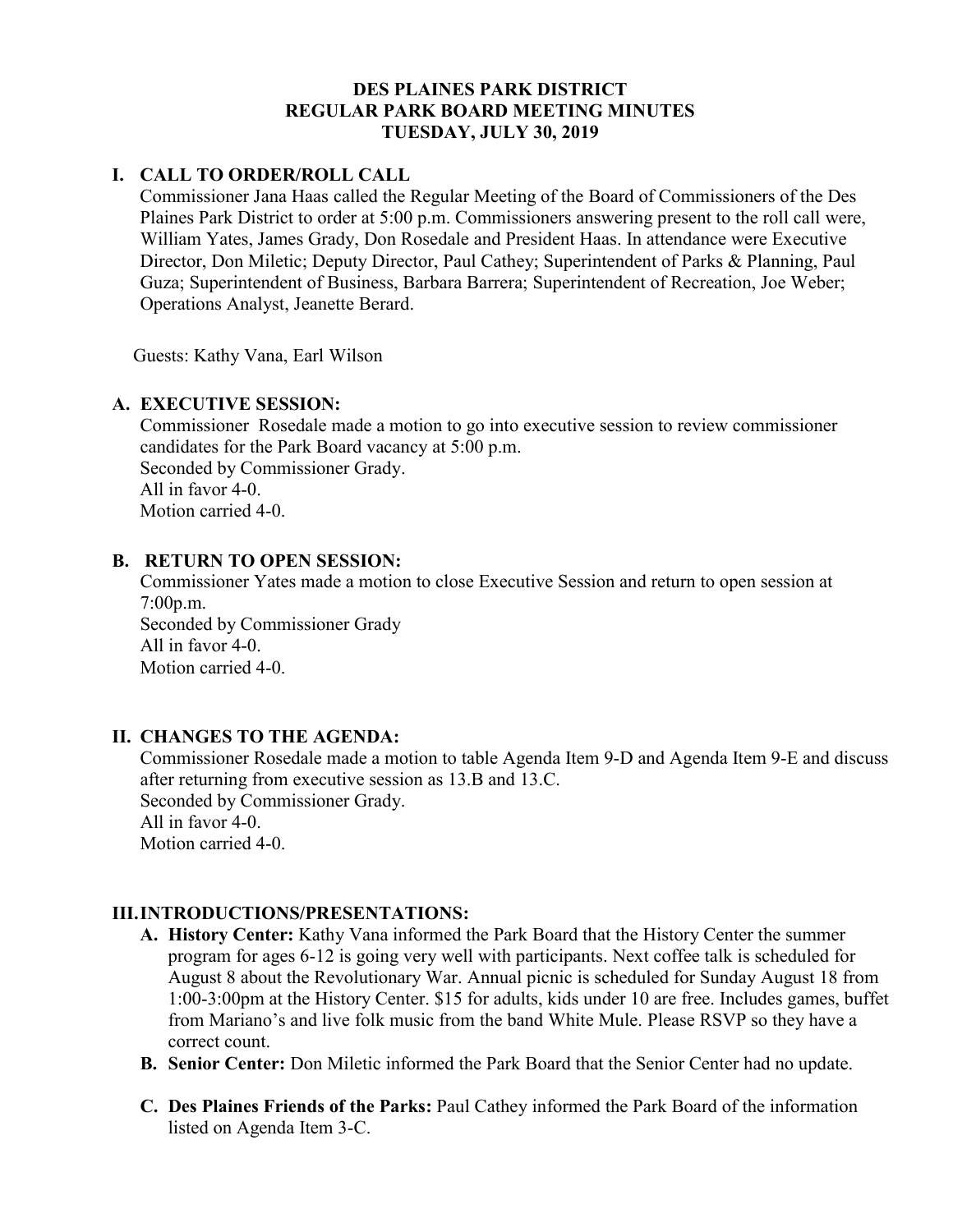## **DES PLAINES PARK DISTRICT REGULAR PARK BOARD MEETING MINUTES TUESDAY, JULY 30, 2019**

# **I. CALL TO ORDER/ROLL CALL**

Commissioner Jana Haas called the Regular Meeting of the Board of Commissioners of the Des Plaines Park District to order at 5:00 p.m. Commissioners answering present to the roll call were, William Yates, James Grady, Don Rosedale and President Haas. In attendance were Executive Director, Don Miletic; Deputy Director, Paul Cathey; Superintendent of Parks & Planning, Paul Guza; Superintendent of Business, Barbara Barrera; Superintendent of Recreation, Joe Weber; Operations Analyst, Jeanette Berard.

Guests: Kathy Vana, Earl Wilson

# **A. EXECUTIVE SESSION:**

Commissioner Rosedale made a motion to go into executive session to review commissioner candidates for the Park Board vacancy at 5:00 p.m. Seconded by Commissioner Grady. All in favor 4-0. Motion carried 4-0.

## **B. RETURN TO OPEN SESSION:**

Commissioner Yates made a motion to close Executive Session and return to open session at 7:00p.m. Seconded by Commissioner Grady All in favor 4-0. Motion carried 4-0.

# **II. CHANGES TO THE AGENDA:**

Commissioner Rosedale made a motion to table Agenda Item 9-D and Agenda Item 9-E and discuss after returning from executive session as 13.B and 13.C. Seconded by Commissioner Grady. All in favor 4-0. Motion carried 4-0.

## **III.INTRODUCTIONS/PRESENTATIONS:**

- **A. History Center:** Kathy Vana informed the Park Board that the History Center the summer program for ages 6-12 is going very well with participants. Next coffee talk is scheduled for August 8 about the Revolutionary War. Annual picnic is scheduled for Sunday August 18 from 1:00-3:00pm at the History Center. \$15 for adults, kids under 10 are free. Includes games, buffet from Mariano's and live folk music from the band White Mule. Please RSVP so they have a correct count.
- **B. Senior Center:** Don Miletic informed the Park Board that the Senior Center had no update.
- **C. Des Plaines Friends of the Parks:** Paul Cathey informed the Park Board of the information listed on Agenda Item 3-C.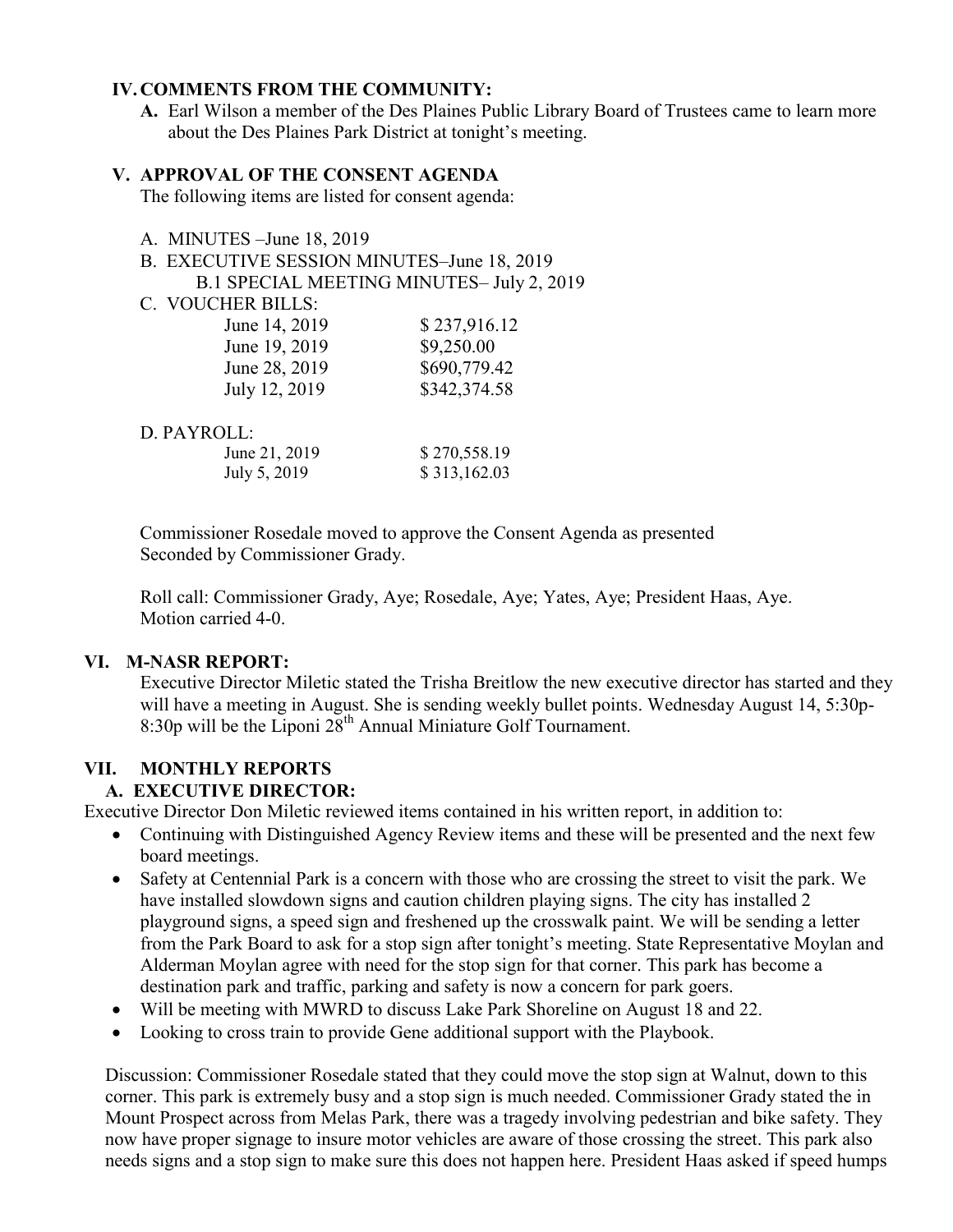#### **IV.COMMENTS FROM THE COMMUNITY:**

**A.** Earl Wilson a member of the Des Plaines Public Library Board of Trustees came to learn more about the Des Plaines Park District at tonight's meeting.

#### **V. APPROVAL OF THE CONSENT AGENDA**

The following items are listed for consent agenda:

- A. MINUTES –June 18, 2019
- B. EXECUTIVE SESSION MINUTES–June 18, 2019 B.1 SPECIAL MEETING MINUTES– July 2, 2019
- C. VOUCHER BILLS:

| June 14, 2019 | \$237,916.12 |
|---------------|--------------|
| June 19, 2019 | \$9,250.00   |
| June 28, 2019 | \$690,779.42 |
| July 12, 2019 | \$342,374.58 |
|               |              |

| D. PAYROLL:   |              |
|---------------|--------------|
| June 21, 2019 | \$270,558.19 |
| July 5, 2019  | \$313,162.03 |

Commissioner Rosedale moved to approve the Consent Agenda as presented Seconded by Commissioner Grady.

 Roll call: Commissioner Grady, Aye; Rosedale, Aye; Yates, Aye; President Haas, Aye. Motion carried 4-0.

#### **VI. M-NASR REPORT:**

Executive Director Miletic stated the Trisha Breitlow the new executive director has started and they will have a meeting in August. She is sending weekly bullet points. Wednesday August 14, 5:30p-8:30p will be the Liponi  $28<sup>th</sup>$  Annual Miniature Golf Tournament.

## **VII. MONTHLY REPORTS**

## **A. EXECUTIVE DIRECTOR:**

Executive Director Don Miletic reviewed items contained in his written report, in addition to:

- Continuing with Distinguished Agency Review items and these will be presented and the next few board meetings.
- Safety at Centennial Park is a concern with those who are crossing the street to visit the park. We have installed slowdown signs and caution children playing signs. The city has installed 2 playground signs, a speed sign and freshened up the crosswalk paint. We will be sending a letter from the Park Board to ask for a stop sign after tonight's meeting. State Representative Moylan and Alderman Moylan agree with need for the stop sign for that corner. This park has become a destination park and traffic, parking and safety is now a concern for park goers.
- Will be meeting with MWRD to discuss Lake Park Shoreline on August 18 and 22.
- Looking to cross train to provide Gene additional support with the Playbook.

Discussion: Commissioner Rosedale stated that they could move the stop sign at Walnut, down to this corner. This park is extremely busy and a stop sign is much needed. Commissioner Grady stated the in Mount Prospect across from Melas Park, there was a tragedy involving pedestrian and bike safety. They now have proper signage to insure motor vehicles are aware of those crossing the street. This park also needs signs and a stop sign to make sure this does not happen here. President Haas asked if speed humps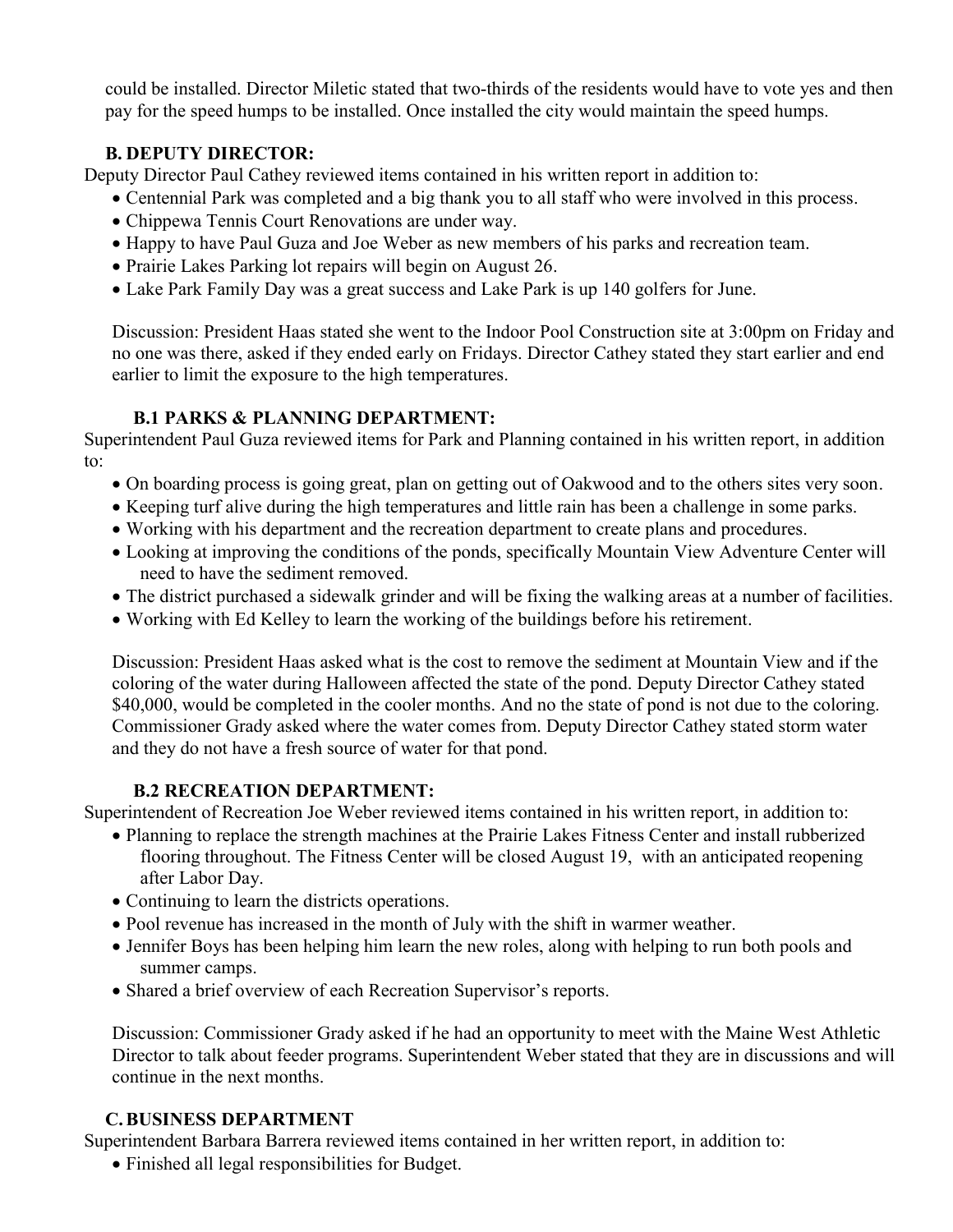could be installed. Director Miletic stated that two-thirds of the residents would have to vote yes and then pay for the speed humps to be installed. Once installed the city would maintain the speed humps.

# **B. DEPUTY DIRECTOR:**

Deputy Director Paul Cathey reviewed items contained in his written report in addition to:

- Centennial Park was completed and a big thank you to all staff who were involved in this process.
- Chippewa Tennis Court Renovations are under way.
- Happy to have Paul Guza and Joe Weber as new members of his parks and recreation team.
- Prairie Lakes Parking lot repairs will begin on August 26.
- Lake Park Family Day was a great success and Lake Park is up 140 golfers for June.

Discussion: President Haas stated she went to the Indoor Pool Construction site at 3:00pm on Friday and no one was there, asked if they ended early on Fridays. Director Cathey stated they start earlier and end earlier to limit the exposure to the high temperatures.

# **B.1 PARKS & PLANNING DEPARTMENT:**

Superintendent Paul Guza reviewed items for Park and Planning contained in his written report, in addition to:

- On boarding process is going great, plan on getting out of Oakwood and to the others sites very soon.
- Keeping turf alive during the high temperatures and little rain has been a challenge in some parks.
- Working with his department and the recreation department to create plans and procedures.
- Looking at improving the conditions of the ponds, specifically Mountain View Adventure Center will need to have the sediment removed.
- The district purchased a sidewalk grinder and will be fixing the walking areas at a number of facilities.
- Working with Ed Kelley to learn the working of the buildings before his retirement.

Discussion: President Haas asked what is the cost to remove the sediment at Mountain View and if the coloring of the water during Halloween affected the state of the pond. Deputy Director Cathey stated \$40,000, would be completed in the cooler months. And no the state of pond is not due to the coloring. Commissioner Grady asked where the water comes from. Deputy Director Cathey stated storm water and they do not have a fresh source of water for that pond.

# **B.2 RECREATION DEPARTMENT:**

Superintendent of Recreation Joe Weber reviewed items contained in his written report, in addition to:

- Planning to replace the strength machines at the Prairie Lakes Fitness Center and install rubberized flooring throughout. The Fitness Center will be closed August 19, with an anticipated reopening after Labor Day.
- Continuing to learn the districts operations.
- Pool revenue has increased in the month of July with the shift in warmer weather.
- Jennifer Boys has been helping him learn the new roles, along with helping to run both pools and summer camps.
- Shared a brief overview of each Recreation Supervisor's reports.

Discussion: Commissioner Grady asked if he had an opportunity to meet with the Maine West Athletic Director to talk about feeder programs. Superintendent Weber stated that they are in discussions and will continue in the next months.

# **C.BUSINESS DEPARTMENT**

Superintendent Barbara Barrera reviewed items contained in her written report, in addition to:

Finished all legal responsibilities for Budget.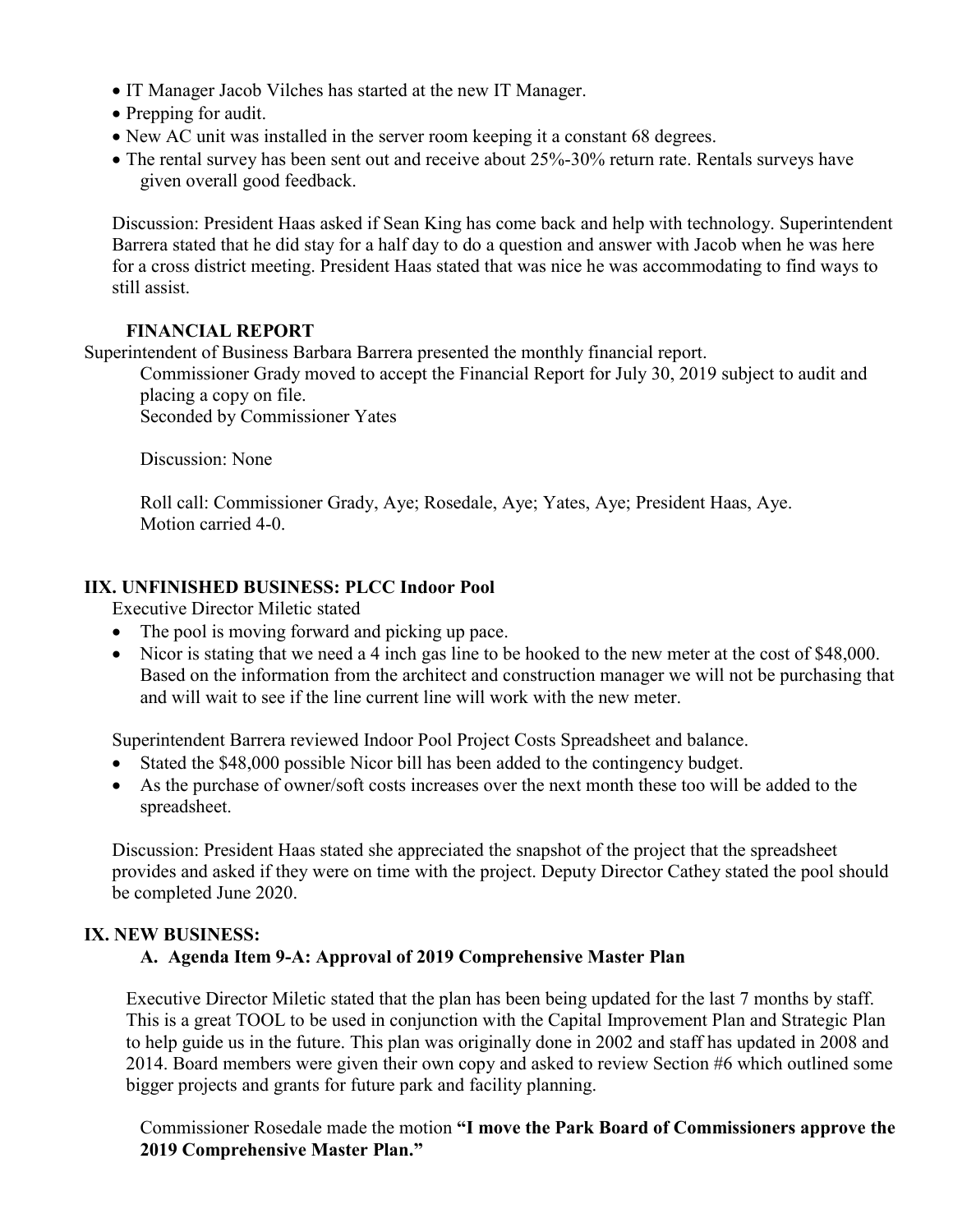- IT Manager Jacob Vilches has started at the new IT Manager.
- Prepping for audit.
- New AC unit was installed in the server room keeping it a constant 68 degrees.
- The rental survey has been sent out and receive about 25%-30% return rate. Rentals surveys have given overall good feedback.

Discussion: President Haas asked if Sean King has come back and help with technology. Superintendent Barrera stated that he did stay for a half day to do a question and answer with Jacob when he was here for a cross district meeting. President Haas stated that was nice he was accommodating to find ways to still assist.

## **FINANCIAL REPORT**

Superintendent of Business Barbara Barrera presented the monthly financial report.

Commissioner Grady moved to accept the Financial Report for July 30, 2019 subject to audit and placing a copy on file.

Seconded by Commissioner Yates

Discussion: None

 Roll call: Commissioner Grady, Aye; Rosedale, Aye; Yates, Aye; President Haas, Aye. Motion carried 4-0.

# **IIX. UNFINISHED BUSINESS: PLCC Indoor Pool**

Executive Director Miletic stated

- The pool is moving forward and picking up pace.
- Nicor is stating that we need a 4 inch gas line to be hooked to the new meter at the cost of \$48,000. Based on the information from the architect and construction manager we will not be purchasing that and will wait to see if the line current line will work with the new meter.

Superintendent Barrera reviewed Indoor Pool Project Costs Spreadsheet and balance.

- Stated the \$48,000 possible Nicor bill has been added to the contingency budget.
- As the purchase of owner/soft costs increases over the next month these too will be added to the spreadsheet.

Discussion: President Haas stated she appreciated the snapshot of the project that the spreadsheet provides and asked if they were on time with the project. Deputy Director Cathey stated the pool should be completed June 2020.

## **IX. NEW BUSINESS:**

## **A. Agenda Item 9-A: Approval of 2019 Comprehensive Master Plan**

Executive Director Miletic stated that the plan has been being updated for the last 7 months by staff. This is a great TOOL to be used in conjunction with the Capital Improvement Plan and Strategic Plan to help guide us in the future. This plan was originally done in 2002 and staff has updated in 2008 and 2014. Board members were given their own copy and asked to review Section #6 which outlined some bigger projects and grants for future park and facility planning.

Commissioner Rosedale made the motion **"I move the Park Board of Commissioners approve the 2019 Comprehensive Master Plan."**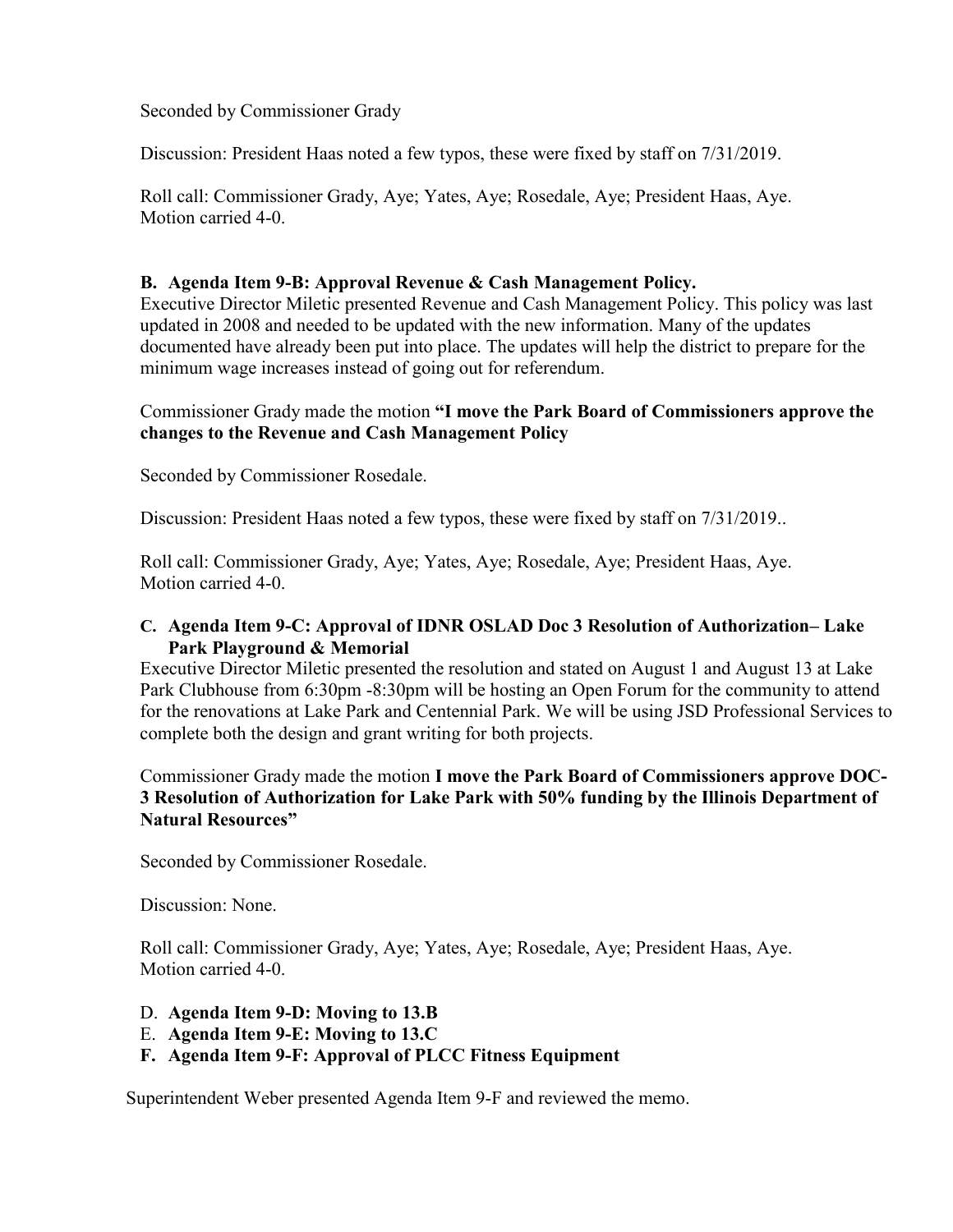Seconded by Commissioner Grady

Discussion: President Haas noted a few typos, these were fixed by staff on 7/31/2019.

 Roll call: Commissioner Grady, Aye; Yates, Aye; Rosedale, Aye; President Haas, Aye. Motion carried 4-0.

#### **B. Agenda Item 9-B: Approval Revenue & Cash Management Policy.**

Executive Director Miletic presented Revenue and Cash Management Policy. This policy was last updated in 2008 and needed to be updated with the new information. Many of the updates documented have already been put into place. The updates will help the district to prepare for the minimum wage increases instead of going out for referendum.

#### Commissioner Grady made the motion **"I move the Park Board of Commissioners approve the changes to the Revenue and Cash Management Policy**

Seconded by Commissioner Rosedale.

Discussion: President Haas noted a few typos, these were fixed by staff on 7/31/2019..

 Roll call: Commissioner Grady, Aye; Yates, Aye; Rosedale, Aye; President Haas, Aye. Motion carried 4-0.

#### **C. Agenda Item 9-C: Approval of IDNR OSLAD Doc 3 Resolution of Authorization– Lake Park Playground & Memorial**

Executive Director Miletic presented the resolution and stated on August 1 and August 13 at Lake Park Clubhouse from 6:30pm -8:30pm will be hosting an Open Forum for the community to attend for the renovations at Lake Park and Centennial Park. We will be using JSD Professional Services to complete both the design and grant writing for both projects.

Commissioner Grady made the motion **I move the Park Board of Commissioners approve DOC-3 Resolution of Authorization for Lake Park with 50% funding by the Illinois Department of Natural Resources"** 

Seconded by Commissioner Rosedale.

Discussion: None.

 Roll call: Commissioner Grady, Aye; Yates, Aye; Rosedale, Aye; President Haas, Aye. Motion carried 4-0.

- D. **Agenda Item 9-D: Moving to 13.B**
- E. **Agenda Item 9-E: Moving to 13.C**
- **F. Agenda Item 9-F: Approval of PLCC Fitness Equipment**

Superintendent Weber presented Agenda Item 9-F and reviewed the memo.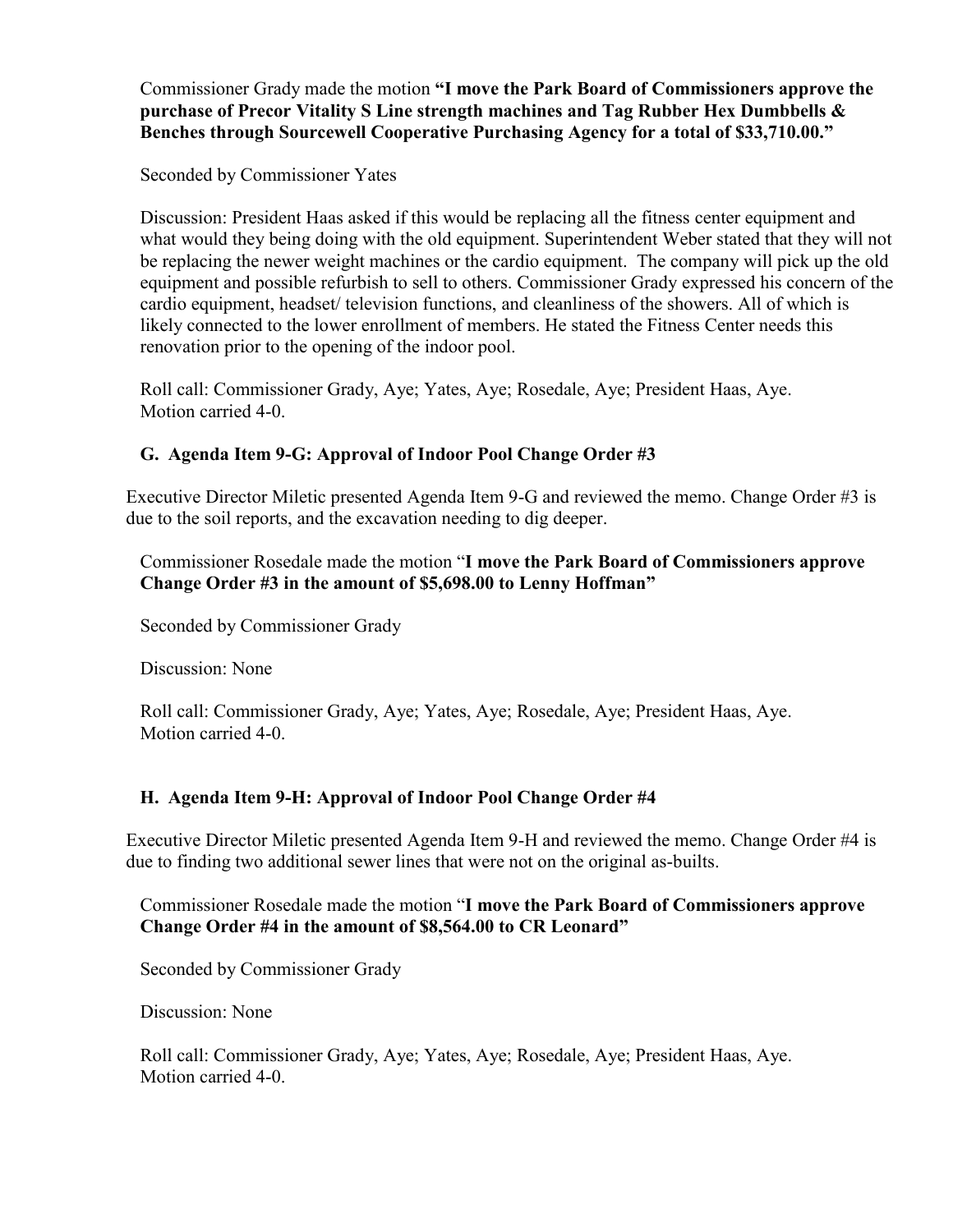Commissioner Grady made the motion **"I move the Park Board of Commissioners approve the purchase of Precor Vitality S Line strength machines and Tag Rubber Hex Dumbbells & Benches through Sourcewell Cooperative Purchasing Agency for a total of \$33,710.00."**

Seconded by Commissioner Yates

Discussion: President Haas asked if this would be replacing all the fitness center equipment and what would they being doing with the old equipment. Superintendent Weber stated that they will not be replacing the newer weight machines or the cardio equipment. The company will pick up the old equipment and possible refurbish to sell to others. Commissioner Grady expressed his concern of the cardio equipment, headset/ television functions, and cleanliness of the showers. All of which is likely connected to the lower enrollment of members. He stated the Fitness Center needs this renovation prior to the opening of the indoor pool.

 Roll call: Commissioner Grady, Aye; Yates, Aye; Rosedale, Aye; President Haas, Aye. Motion carried 4-0.

# **G. Agenda Item 9-G: Approval of Indoor Pool Change Order #3**

Executive Director Miletic presented Agenda Item 9-G and reviewed the memo. Change Order #3 is due to the soil reports, and the excavation needing to dig deeper.

Commissioner Rosedale made the motion "**I move the Park Board of Commissioners approve Change Order #3 in the amount of \$5,698.00 to Lenny Hoffman"** 

Seconded by Commissioner Grady

Discussion: None

 Roll call: Commissioner Grady, Aye; Yates, Aye; Rosedale, Aye; President Haas, Aye. Motion carried 4-0.

## **H. Agenda Item 9-H: Approval of Indoor Pool Change Order #4**

Executive Director Miletic presented Agenda Item 9-H and reviewed the memo. Change Order #4 is due to finding two additional sewer lines that were not on the original as-builts.

Commissioner Rosedale made the motion "**I move the Park Board of Commissioners approve Change Order #4 in the amount of \$8,564.00 to CR Leonard"** 

Seconded by Commissioner Grady

Discussion: None

 Roll call: Commissioner Grady, Aye; Yates, Aye; Rosedale, Aye; President Haas, Aye. Motion carried 4-0.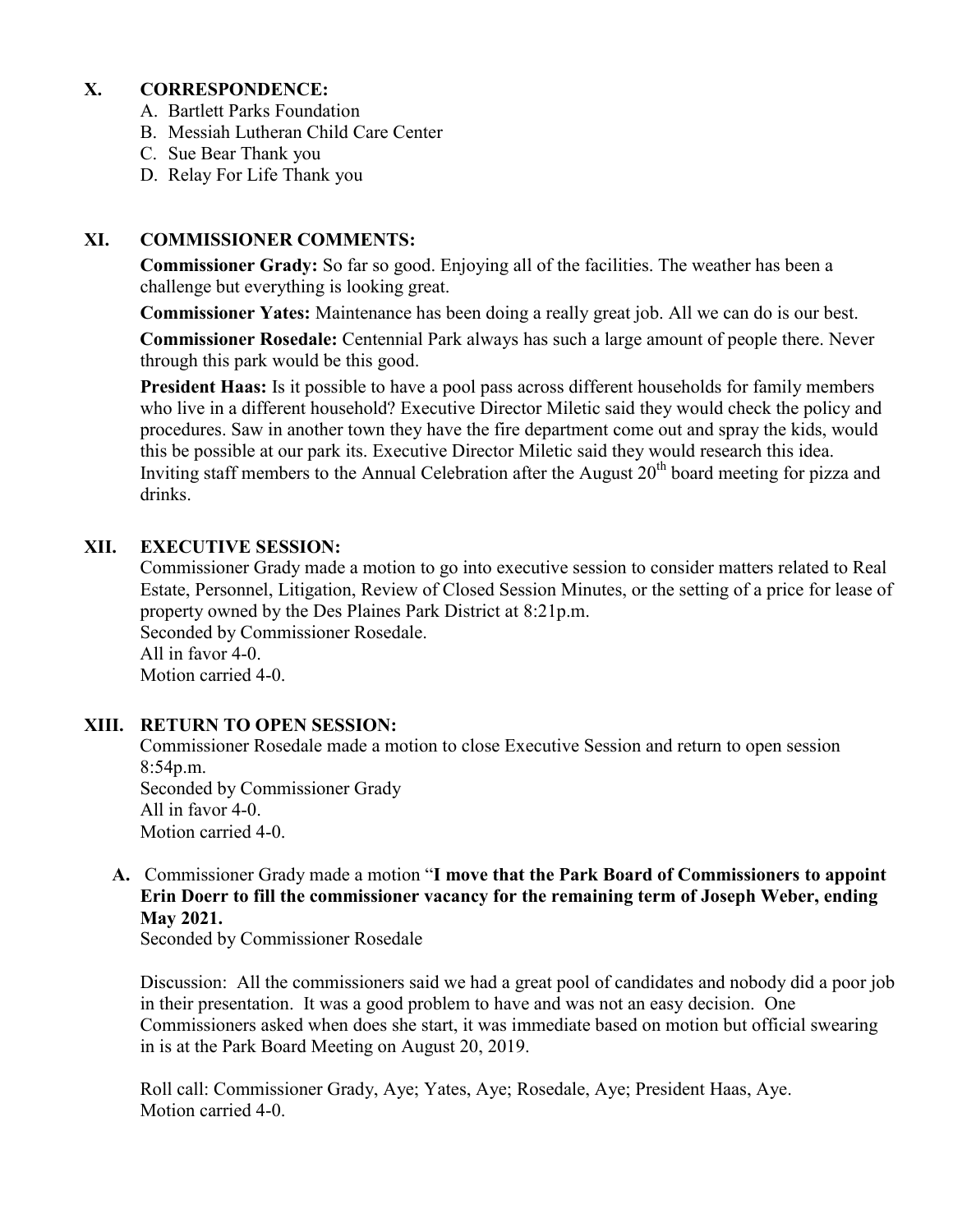## **X. CORRESPONDENCE:**

- A. Bartlett Parks Foundation
- B. Messiah Lutheran Child Care Center
- C. Sue Bear Thank you
- D. Relay For Life Thank you

#### **XI. COMMISSIONER COMMENTS:**

**Commissioner Grady:** So far so good. Enjoying all of the facilities. The weather has been a challenge but everything is looking great.

**Commissioner Yates:** Maintenance has been doing a really great job. All we can do is our best.

**Commissioner Rosedale:** Centennial Park always has such a large amount of people there. Never through this park would be this good.

**President Haas:** Is it possible to have a pool pass across different households for family members who live in a different household? Executive Director Miletic said they would check the policy and procedures. Saw in another town they have the fire department come out and spray the kids, would this be possible at our park its. Executive Director Miletic said they would research this idea. Inviting staff members to the Annual Celebration after the August  $20<sup>th</sup>$  board meeting for pizza and drinks.

#### **XII. EXECUTIVE SESSION:**

Commissioner Grady made a motion to go into executive session to consider matters related to Real Estate, Personnel, Litigation, Review of Closed Session Minutes, or the setting of a price for lease of property owned by the Des Plaines Park District at 8:21p.m. Seconded by Commissioner Rosedale. All in favor 4-0. Motion carried 4-0.

#### **XIII. RETURN TO OPEN SESSION:**

Commissioner Rosedale made a motion to close Executive Session and return to open session 8:54p.m. Seconded by Commissioner Grady All in favor 4-0. Motion carried 4-0.

**A.** Commissioner Grady made a motion "**I move that the Park Board of Commissioners to appoint Erin Doerr to fill the commissioner vacancy for the remaining term of Joseph Weber, ending May 2021.** 

Seconded by Commissioner Rosedale

Discussion: All the commissioners said we had a great pool of candidates and nobody did a poor job in their presentation. It was a good problem to have and was not an easy decision. One Commissioners asked when does she start, it was immediate based on motion but official swearing in is at the Park Board Meeting on August 20, 2019.

 Roll call: Commissioner Grady, Aye; Yates, Aye; Rosedale, Aye; President Haas, Aye. Motion carried 4-0.